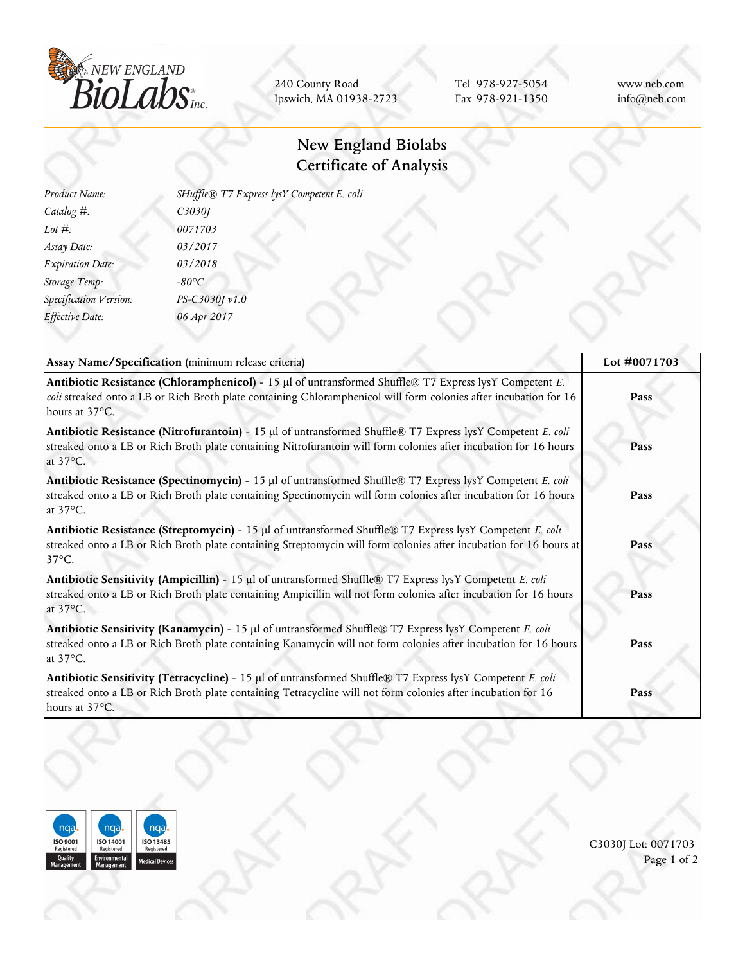

240 County Road Ipswich, MA 01938-2723

Tel 978-927-5054 Fax 978-921-1350 www.neb.com info@neb.com

## **New England Biolabs Certificate of Analysis**

| Product Name:           | SHuffle® T7 Express lysY Competent E. coli |  |
|-------------------------|--------------------------------------------|--|
| Catalog #:              | C3030J                                     |  |
| Lot $\#$ :              | 0071703                                    |  |
| Assay Date:             | 03/2017                                    |  |
| <b>Expiration Date:</b> | 03/2018                                    |  |
| Storage Temp:           | $-80^{\circ}C$                             |  |
| Specification Version:  | PS-C3030J v1.0                             |  |
| Effective Date:         | 06 Apr 2017                                |  |
|                         |                                            |  |

| Assay Name/Specification (minimum release criteria)                                                                                                                                                                                                   | Lot #0071703 |
|-------------------------------------------------------------------------------------------------------------------------------------------------------------------------------------------------------------------------------------------------------|--------------|
| Antibiotic Resistance (Chloramphenicol) - 15 µl of untransformed Shuffle® T7 Express lysY Competent E.<br>coli streaked onto a LB or Rich Broth plate containing Chloramphenicol will form colonies after incubation for 16<br>hours at 37°C.         | Pass         |
| Antibiotic Resistance (Nitrofurantoin) - 15 µl of untransformed Shuffle® T7 Express lysY Competent E. coli<br>streaked onto a LB or Rich Broth plate containing Nitrofurantoin will form colonies after incubation for 16 hours<br>at $37^{\circ}$ C. | Pass         |
| Antibiotic Resistance (Spectinomycin) - 15 µl of untransformed Shuffle® T7 Express lysY Competent E. coli<br>streaked onto a LB or Rich Broth plate containing Spectinomycin will form colonies after incubation for 16 hours<br>at 37°C.             | Pass         |
| Antibiotic Resistance (Streptomycin) - 15 µl of untransformed Shuffle® T7 Express lysY Competent E. coli<br>streaked onto a LB or Rich Broth plate containing Streptomycin will form colonies after incubation for 16 hours at<br>$37^{\circ}$ C.     | Pass         |
| Antibiotic Sensitivity (Ampicillin) - 15 µl of untransformed Shuffle® T7 Express lysY Competent E. coli<br>streaked onto a LB or Rich Broth plate containing Ampicillin will not form colonies after incubation for 16 hours<br>at 37°C.              | Pass         |
| Antibiotic Sensitivity (Kanamycin) - 15 µl of untransformed Shuffle® T7 Express lysY Competent E. coli<br>streaked onto a LB or Rich Broth plate containing Kanamycin will not form colonies after incubation for 16 hours<br>at $37^{\circ}$ C.      | Pass         |
| Antibiotic Sensitivity (Tetracycline) - 15 µl of untransformed Shuffle® T7 Express lysY Competent E. coli<br>streaked onto a LB or Rich Broth plate containing Tetracycline will not form colonies after incubation for 16<br>hours at 37°C.          | Pass         |



C3030J Lot: 0071703 Page 1 of 2